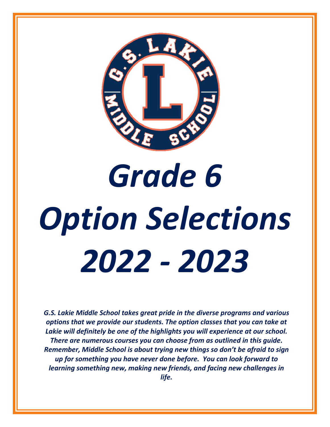

# *Grade 6 Option Selections 2022 - 2023*

*G.S. Lakie Middle School takes great pride in the diverse programs and various options that we provide our students. The option classes that you can take at Lakie will definitely be one of the highlights you will experience at our school. There are numerous courses you can choose from as outlined in this guide. Remember, Middle School is about trying new things so don't be afraid to sign up for something you have never done before. You can look forward to learning something new, making new friends, and facing new challenges in life.*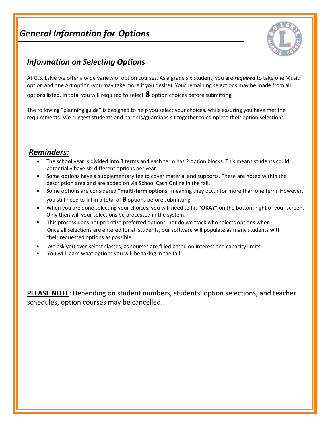# *General Information for Options*



### *Information on Selecting Options*

At G.S. Lakie we offer a wide variety of option courses. As a grade six student, you are *required* to take one Music option and one Art option (you may take more if you desire). Your remaining selections may be made from all options listed. In total you will required to select **8** option choices before submitting.

The following "planning guide" is designed to help you select your choices, while assuring you have met the requirements. We suggest students and parents/guardians sit together to complete their option selections.

### *Reminders:*

- The school year is divided into 3 terms and each term has 2 option blocks. This means students could potentially have six different options per year.
- Some options have a supplementary fee to cover material and supports. These are noted within the description area and are added on via School Cash Online in the fall.
- Some options are considered **"multi-term options**" meaning they occur for more than one term. However, you still need to fill in a total of **8** options before submitting.
- When you are done selecting your choices, you will need to hit "**OKAY**" on the bottom right of your screen. Only then will your selections be processed in the system.
- This process does not prioritize preferred options, nor do we track who selects options when. Once all selections are entered for all students, our software will populate as many students with their requested options as possible.
- We ask you over-select classes, as courses are filled based on interest and capacity limits.
- You will learn what options you will be taking in the fall.

**PLEASE NOTE**: Depending on student numbers, students' option selections, and teacher schedules, option courses may be cancelled.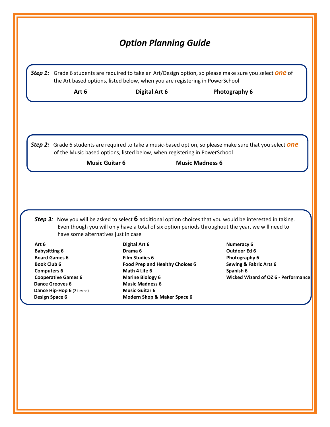|                                                     |                                     | the Art based options, listed below, when you are registering in PowerSchool |                        | Step 1: Grade 6 students are required to take an Art/Design option, so please make sure you select <b>One</b> of                                                                                                          |
|-----------------------------------------------------|-------------------------------------|------------------------------------------------------------------------------|------------------------|---------------------------------------------------------------------------------------------------------------------------------------------------------------------------------------------------------------------------|
|                                                     | Art 6                               | <b>Digital Art 6</b>                                                         |                        | Photography 6                                                                                                                                                                                                             |
|                                                     |                                     |                                                                              |                        | Step 2: Grade 6 students are required to take a music-based option, so please make sure that you select one                                                                                                               |
|                                                     |                                     | of the Music based options, listed below, when registering in PowerSchool    |                        |                                                                                                                                                                                                                           |
|                                                     | <b>Music Guitar 6</b>               |                                                                              | <b>Music Madness 6</b> |                                                                                                                                                                                                                           |
|                                                     |                                     |                                                                              |                        |                                                                                                                                                                                                                           |
|                                                     | have some alternatives just in case |                                                                              |                        | <b>Step 3:</b> Now you will be asked to select $6$ additional option choices that you would be interested in taking.<br>Even though you will only have a total of six option periods throughout the year, we will need to |
| Art 6                                               |                                     | <b>Digital Art 6</b>                                                         |                        | <b>Numeracy 6</b>                                                                                                                                                                                                         |
| <b>Babysitting 6</b><br><b>Board Games 6</b>        |                                     | Drama <sub>6</sub><br><b>Film Studies 6</b>                                  |                        | Outdoor Ed 6<br>Photography 6                                                                                                                                                                                             |
| <b>Book Club 6</b>                                  |                                     | Food Prep and Healthy Choices 6                                              |                        | <b>Sewing &amp; Fabric Arts 6</b>                                                                                                                                                                                         |
| <b>Computers 6</b>                                  |                                     | Math 4 Life 6                                                                |                        | Spanish 6                                                                                                                                                                                                                 |
| <b>Cooperative Games 6</b>                          |                                     | <b>Marine Biology 6</b>                                                      |                        | <b>Wicked Wizard of OZ 6 - Performance</b>                                                                                                                                                                                |
| <b>Dance Grooves 6</b><br>Dance Hip-Hop 6 (2 terms) |                                     | <b>Music Madness 6</b><br><b>Music Guitar 6</b>                              |                        |                                                                                                                                                                                                                           |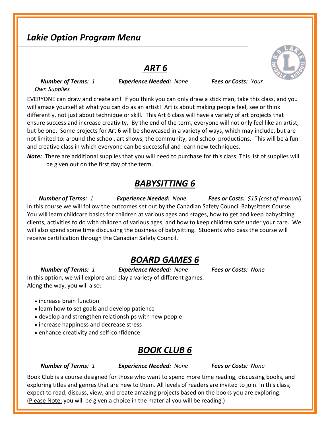# *Lakie Option Program Menu*

#### *ART 6*

 *Number of Terms: 1 Experience Needed: None Fees or Costs: Your Own Supplies*

EVERYONE can draw and create art! If you think you can only draw a stick man, take this class, and you will amaze yourself at what you can do as an artist! Art is about making people feel, see or think differently, not just about technique or skill. This Art 6 class will have a variety of art projects that ensure success and increase creativity. By the end of the term, everyone will not only feel like an artist, but be one. Some projects for Art 6 will be showcased in a variety of ways, which may include, but are not limited to: around the school, art shows, the community, and school productions. This will be a fun and creative class in which everyone can be successful and learn new techniques.

*Note:* There are additional supplies that you will need to purchase for this class. This list of supplies will be given out on the first day of the term.

#### *BABYSITTING 6*

*Number of Terms: 1 Experience Needed: None Fees or Costs: \$15 (cost of manual)* In this course we will follow the outcomes set out by the Canadian Safety Council Babysitters Course. You will learn childcare basics for children at various ages and stages, how to get and keep babysitting clients, activities to do with children of various ages, and how to keep children safe under your care. We will also spend some time discussing the business of babysitting. Students who pass the course will receive certification through the Canadian Safety Council.

#### *BOARD GAMES 6*

 *Number of Terms: 1 Experience Needed: None Fees or Costs: None* In this option, we will explore and play a variety of different games. Along the way, you will also:

- increase brain function
- learn how to set goals and develop patience
- develop and strengthen relationships with new people
- increase happiness and decrease stress
- enhance creativity and self-confidence

#### *BOOK CLUB 6*

 *Number of Terms: 1 Experience Needed: None Fees or Costs: None*

Book Club is a course designed for those who want to spend more time reading, discussing books, and exploring titles and genres that are new to them. All levels of readers are invited to join. In this class, expect to read, discuss, view, and create amazing projects based on the books you are exploring. (Please Note: you will be given a choice in the material you will be reading.)

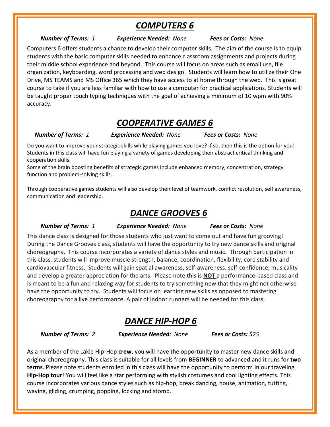### *COMPUTERS 6*

#### *Number of Terms: 1 Experience Needed: None Fees or Costs: None*

Computers 6 offers students a chance to develop their computer skills. The aim of the course is to equip students with the basic computer skills needed to enhance classroom assignments and projects during their middle school experience and beyond. This course will focus on areas such as email use, file organization, keyboarding, word processing and web design. Students will learn how to utilize their One Drive, MS TEAMS and MS Office 365 which they have access to at home through the web. This is great course to take if you are less familiar with how to use a computer for practical applications. Students will be taught proper touch typing techniques with the goal of achieving a minimum of 10 wpm with 90% accuracy.

# *COOPERATIVE GAMES 6*

*Number of Terms: 1 Experience Needed: None Fees or Costs: None*

Do you want to improve your strategic skills while playing games you love? If so, then this is the option for you! Students in this class will have fun playing a variety of games developing their abstract critical thinking and cooperation skills.

Some of the brain boosting benefits of strategic games include enhanced memory, concentration, strategy function and problem-solving skills.

Through cooperative games students will also develop their level of teamwork, conflict resolution, self awareness, communication and leadership.

#### *DANCE GROOVES 6*

#### *Number of Terms: 1 Experience Needed: None Fees or Costs: None*

This dance class is designed for those students who just want to come out and have fun grooving! During the Dance Grooves class, students will have the opportunity to try new dance skills and original choreography. This course incorporates a variety of dance styles and music. Through participation in this class, students will improve muscle strength, balance, coordination, flexibility, core stability and cardiovascular fitness. Students will gain spatial awareness, self-awareness, self-confidence, musicality and develop a greater appreciation for the arts. Please note this is **NOT** a performance-based class and is meant to be a fun and relaxing way for students to try something new that they might not otherwise have the opportunity to try. Students will focus on learning new skills as opposed to mastering choreography for a live performance. A pair of indoor runners will be needed for this class.

### *DANCE HIP-HOP 6*

 *Number of Terms: 2 Experience Needed: None Fees or Costs: \$25*

As a member of the Lakie Hip-Hop **crew,** you will have the opportunity to master new dance skills and original choreography. This class is suitable for all levels from **BEGINNER** to advanced and it runs for **two terms**. Please note students enrolled in this class will have the opportunity to perform in our traveling **Hip-Hop tour**! You will feel like a star performing with stylish costumes and cool lighting effects. This course incorporates various dance styles such as hip-hop, break dancing, house, animation, tutting, waving, gliding, crumping, popping, locking and stomp.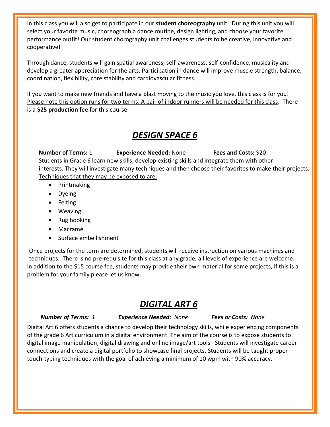In this class you will also get to participate in our **student choreography** unit. During this unit you will select your favorite music, choreograph a dance routine, design lighting, and choose your favorite performance outfit! Our student chorography unit challenges students to be creative, innovative and cooperative!

Through dance, students will gain spatial awareness, self-awareness, self-confidence, musicality and develop a greater appreciation for the arts. Participation in dance will improve muscle strength, balance, coordination, flexibility, core stability and cardiovascular fitness.

If you want to make new friends and have a blast moving to the music you love, this class is for you! Please note this option runs for two terms. A pair of indoor runners will be needed for this class. There is a **\$25 production fee** for this course.

### *DESIGN SPACE 6*

**Number of Terms:** 1 **Experience Needed:** None **Fees and Costs:** \$20 Students in Grade 6 learn new skills, develop existing skills and integrate them with other interests. They will investigate many techniques and then choose their favorites to make their projects. Techniques that they may be exposed to are:

- Printmaking
- Dyeing
- Felting
- Weaving
- Rug hooking
- Macramé
- Surface embellishment

Once projects for the term are determined, students will receive instruction on various machines and techniques. There is no pre-requisite for this class at any grade, all levels of experience are welcome. In addition to the \$15 course fee, students may provide their own material for some projects, if this is a problem for your family please let us know.

# *DIGITAL ART 6*

#### *Number of Terms: 1 Experience Needed: None Fees or Costs: None*

Digital Art 6 offers students a chance to develop their technology skills, while experiencing components of the grade 6 Art curriculum in a digital environment. The aim of the course is to expose students to digital image manipulation, digital drawing and online image/art tools. Students will investigate career connections and create a digital portfolio to showcase final projects. Students will be taught proper touch-typing techniques with the goal of achieving a minimum of 10 wpm with 90% accuracy.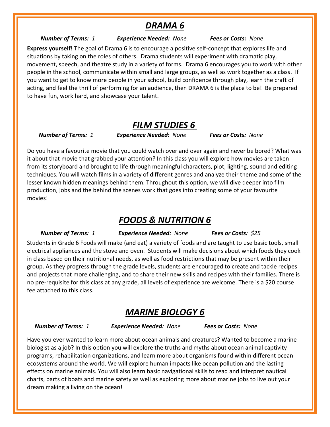### *DRAMA 6*

#### *Number of Terms: 1 Experience Needed: None Fees or Costs: None*

**Express yourself!** The goal of Drama 6 is to encourage a positive self-concept that explores life and situations by taking on the roles of others. Drama students will experiment with dramatic play, movement, speech, and theatre study in a variety of forms. Drama 6 encourages you to work with other people in the school, communicate within small and large groups, as well as work together as a class. If you want to get to know more people in your school, build confidence through play, learn the craft of acting, and feel the thrill of performing for an audience, then DRAMA 6 is the place to be! Be prepared to have fun, work hard, and showcase your talent.

#### *FILM STUDIES 6*

*Number of Terms: 1 Experience Needed: None Fees or Costs: None*

Do you have a favourite movie that you could watch over and over again and never be bored? What was it about that movie that grabbed your attention? In this class you will explore how movies are taken from its storyboard and brought to life through meaningful characters, plot, lighting, sound and editing techniques. You will watch films in a variety of different genres and analyze their theme and some of the lesser known hidden meanings behind them. Throughout this option, we will dive deeper into film production, jobs and the behind the scenes work that goes into creating some of your favourite movies!  

### *FOODS & NUTRITION 6*

#### *Number of Terms: 1 Experience Needed: None Fees or Costs: \$25*

Students in Grade 6 Foods will make (and eat) a variety of foods and are taught to use basic tools, small electrical appliances and the stove and oven. Students will make decisions about which foods they cook in class based on their nutritional needs, as well as food restrictions that may be present within their group. As they progress through the grade levels, students are encouraged to create and tackle recipes and projects that more challenging, and to share their new skills and recipes with their families. There is no pre-requisite for this class at any grade, all levels of experience are welcome. There is a \$20 course fee attached to this class.

### *MARINE BIOLOGY 6*

*Number of Terms: 1 Experience Needed: None Fees or Costs: None*

Have you ever wanted to learn more about ocean animals and creatures? Wanted to become a marine biologist as a job? In this option you will explore the truths and myths about ocean animal captivity programs, rehabilitation organizations, and learn more about organisms found within different ocean ecosystems around the world. We will explore human impacts like ocean pollution and the lasting effects on marine animals. You will also learn basic navigational skills to read and interpret nautical charts, parts of boats and marine safety as well as exploring more about marine jobs to live out your dream making a living on the ocean!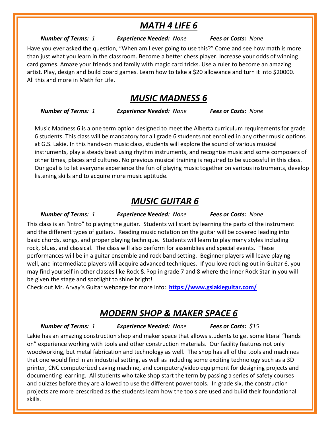### *MATH 4 LIFE 6*

#### *Number of Terms: 1 Experience Needed: None Fees or Costs: None*

Have you ever asked the question, "When am I ever going to use this?" Come and see how math is more than just what you learn in the classroom. Become a better chess player. Increase your odds of winning card games. Amaze your friends and family with magic card tricks. Use a ruler to become an amazing artist. Play, design and build board games. Learn how to take a \$20 allowance and turn it into \$20000. All this and more in Math for Life.

#### *MUSIC MADNESS 6*

 *Number of Terms: 1 Experience Needed: None Fees or Costs: None*

Music Madness 6 is a one term option designed to meet the Alberta curriculum requirements for grade 6 students. This class will be mandatory for all grade 6 students not enrolled in any other music options at G.S. Lakie. In this hands-on music class, students will explore the sound of various musical instruments, play a steady beat using rhythm instruments, and recognize music and some composers of other times, places and cultures. No previous musical training is required to be successful in this class. Our goal is to let everyone experience the fun of playing music together on various instruments, develop listening skills and to acquire more music aptitude.

### *MUSIC GUITAR 6*

 *Number of Terms: 1 Experience Needed: None Fees or Costs: None*

This class is an "intro" to playing the guitar. Students will start by learning the parts of the instrument and the different types of guitars. Reading music notation on the guitar will be covered leading into basic chords, songs, and proper playing technique. Students will learn to play many styles including rock, blues, and classical. The class will also perform for assemblies and special events. These performances will be in a guitar ensemble and rock band setting. Beginner players will leave playing well, and intermediate players will acquire advanced techniques. If you love rocking out in Guitar 6, you may find yourself in other classes like Rock & Pop in grade 7 and 8 where the inner Rock Star in you will be given the stage and spotlight to shine bright!

Check out Mr. Arvay's Guitar webpage for more info: **<https://www.gslakieguitar.com/>**

### *MODERN SHOP & MAKER SPACE 6*

 *Number of Terms: 1 Experience Needed: None Fees or Costs: \$15*

Lakie has an amazing construction shop and maker space that allows students to get some literal "hands on" experience working with tools and other construction materials. Our facility features not only woodworking, but metal fabrication and technology as well. The shop has all of the tools and machines that one would find in an industrial setting, as well as including some exciting technology such as a 3D printer, CNC computerized caving machine, and computers/video equipment for designing projects and documenting learning. All students who take shop start the term by passing a series of safety courses and quizzes before they are allowed to use the different power tools. In grade six, the construction projects are more prescribed as the students learn how the tools are used and build their foundational skills.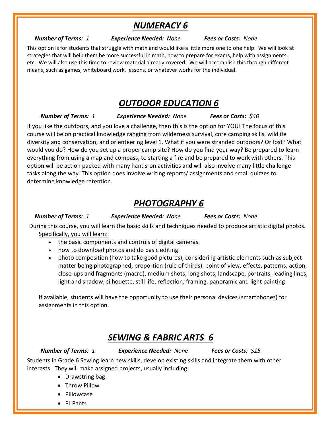# *NUMERACY 6*

*Number of Terms: 1 Experience Needed: None Fees or Costs: None*

This option is for students that struggle with math and would like a little more one to one help. We will look at strategies that will help them be more successful in math, how to prepare for exams, help with assignments, etc. We will also use this time to review material already covered. We will accomplish this through different means, such as games, whiteboard work, lessons, or whatever works for the individual.

## *OUTDOOR EDUCATION 6*

 *Number of Terms: 1 Experience Needed: None Fees or Costs: \$40*

If you like the outdoors, and you love a challenge, then this is the option for YOU! The focus of this course will be on practical knowledge ranging from wilderness survival, core camping skills, wildlife diversity and conservation, and orienteering level 1. What if you were stranded outdoors? Or lost? What would you do? How do you set up a proper camp site? How do you find your way? Be prepared to learn everything from using a map and compass, to starting a fire and be prepared to work with others. This option will be action packed with many hands-on activities and will also involve many little challenge tasks along the way. This option does involve writing reports/ assignments and small quizzes to determine knowledge retention.

# *PHOTOGRAPHY 6*

*Number of Terms: 1 Experience Needed: None Fees or Costs: None*

During this course, you will learn the basic skills and techniques needed to produce artistic digital photos. Specifically, you will learn:

- the basic components and controls of digital cameras.
- how to download photos and do basic editing.
- photo composition (how to take good pictures), considering artistic elements such as subject matter being photographed, proportion (rule of thirds), point of view, effects, patterns, action, close-ups and fragments (macro), medium shots, long shots, landscape, portraits, leading lines, light and shadow, silhouette, still life, reflection, framing, panoramic and light painting

If available, students will have the opportunity to use their personal devices (smartphones) for assignments in this option.

### *SEWING & FABRIC ARTS 6*

 *Number of Terms: 1 Experience Needed: None Fees or Costs: \$15*

Students in Grade 6 Sewing learn new skills, develop existing skills and integrate them with other interests. They will make assigned projects, usually including:

- Drawstring bag
- Throw Pillow
- Pillowcase
- PJ Pants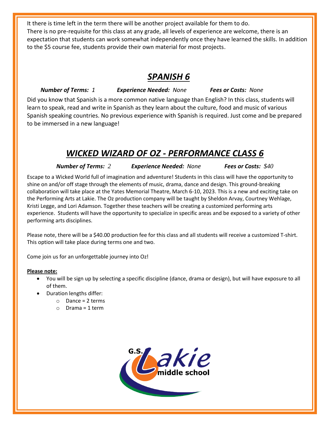It there is time left in the term there will be another project available for them to do. There is no pre-requisite for this class at any grade, all levels of experience are welcome, there is an expectation that students can work somewhat independently once they have learned the skills. In addition to the \$5 course fee, students provide their own material for most projects.

### *SPANISH 6*

 *Number of Terms: 1 Experience Needed: None Fees or Costs: None*

Did you know that Spanish is a more common native language than English? In this class, students will learn to speak, read and write in Spanish as they learn about the culture, food and music of various Spanish speaking countries. No previous experience with Spanish is required. Just come and be prepared to be immersed in a new language!

# *WICKED WIZARD OF OZ - PERFORMANCE CLASS 6*

*Number of Terms: 2 Experience Needed: None Fees or Costs: \$40*

Escape to a Wicked World full of imagination and adventure! Students in this class will have the opportunity to shine on and/or off stage through the elements of music, drama, dance and design. This ground-breaking collaboration will take place at the Yates Memorial Theatre, March 6-10, 2023. This is a new and exciting take on the Performing Arts at Lakie. The Oz production company will be taught by Sheldon Arvay, Courtney Wehlage, Kristi Legge, and Lori Adamson. Together these teachers will be creating a customized performing arts experience. Students will have the opportunity to specialize in specific areas and be exposed to a variety of other performing arts disciplines.

Please note, there will be a \$40.00 production fee for this class and all students will receive a customized T-shirt. This option will take place during terms one and two.

Come join us for an unforgettable journey into Oz!

#### **Please note:**

- You will be sign up by selecting a specific discipline (dance, drama or design), but will have exposure to all of them.
- Duration lengths differ:
	- $\circ$  Dance = 2 terms
	- $O$  Drama = 1 term